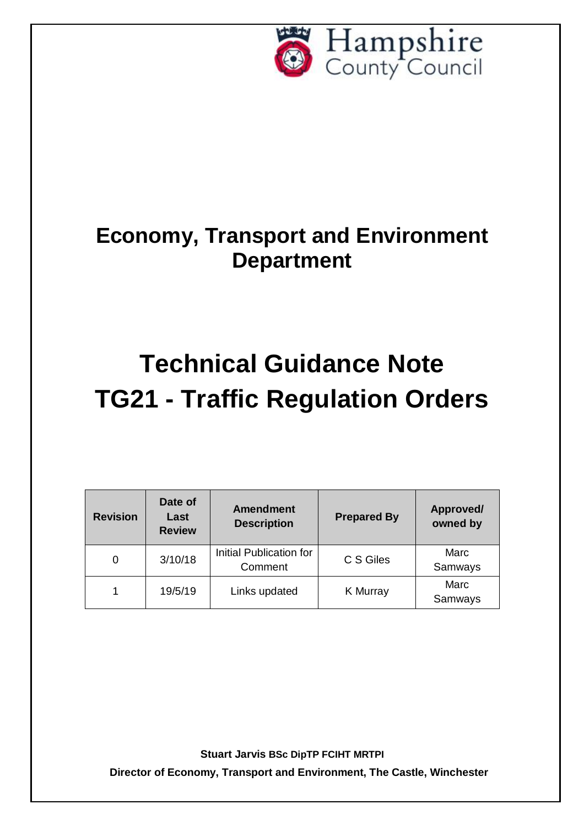

## **Economy, Transport and Environment Department**

# **Technical Guidance Note TG21 - Traffic Regulation Orders**

| <b>Revision</b> | Date of<br>Last<br><b>Review</b> | <b>Amendment</b><br><b>Description</b> | <b>Prepared By</b> | Approved/<br>owned by |
|-----------------|----------------------------------|----------------------------------------|--------------------|-----------------------|
|                 | 3/10/18                          | Initial Publication for<br>Comment     | C S Giles          | Marc<br>Samways       |
|                 | 19/5/19                          | Links updated                          | K Murray           | Marc<br>Samways       |

**Stuart Jarvis BSc DipTP FCIHT MRTPI**

**Director of Economy, Transport and Environment, The Castle, Winchester**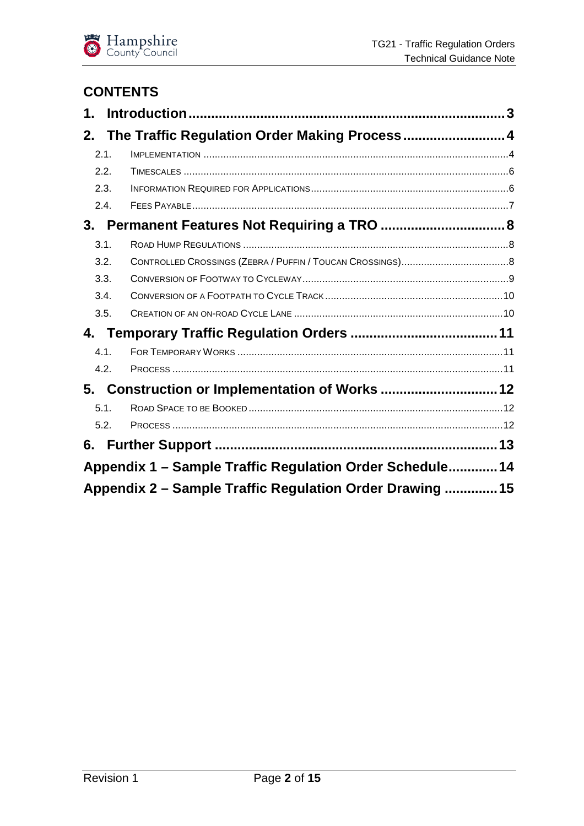

### **CONTENTS**

| 1.   |                                                          |  |
|------|----------------------------------------------------------|--|
| 2.   |                                                          |  |
| 2.1. |                                                          |  |
| 2.2. |                                                          |  |
| 2.3. |                                                          |  |
| 2.4. |                                                          |  |
|      |                                                          |  |
| 3.1. |                                                          |  |
| 3.2. |                                                          |  |
| 3.3. |                                                          |  |
| 3.4. |                                                          |  |
| 3.5. |                                                          |  |
|      |                                                          |  |
| 4.1. |                                                          |  |
| 4.2. |                                                          |  |
|      | 5. Construction or Implementation of Works  12           |  |
| 5.1. |                                                          |  |
| 5.2. |                                                          |  |
| 6.   |                                                          |  |
|      | Appendix 1 - Sample Traffic Regulation Order Schedule 14 |  |
|      | Appendix 2 – Sample Traffic Regulation Order Drawing  15 |  |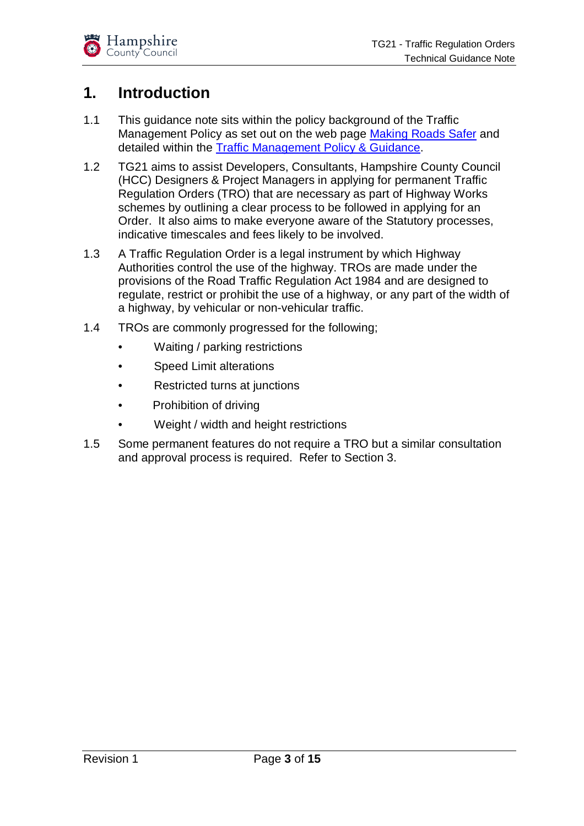## **1. Introduction**

- 1.1 This guidance note sits within the policy background of the Traffic Management Policy as set out on the web page Making Roads Safer and detailed within the Traffic Management Policy & Guidance.
- 1.2 TG21 aims to assist Developers, Consultants, Hampshire County Council (HCC) Designers & Project Managers in applying for permanent Traffic Regulation Orders (TRO) that are necessary as part of Highway Works schemes by outlining a clear process to be followed in applying for an Order. It also aims to make everyone aware of the Statutory processes, indicative timescales and fees likely to be involved.
- 1.3 A Traffic Regulation Order is a legal instrument by which Highway Authorities control the use of the highway. TROs are made under the provisions of the Road Traffic Regulation Act 1984 and are designed to regulate, restrict or prohibit the use of a highway, or any part of the width of a highway, by vehicular or non-vehicular traffic.
- 1.4 TROs are commonly progressed for the following;
	- Waiting / parking restrictions
	- **Speed Limit alterations**
	- Restricted turns at junctions
	- Prohibition of driving
	- Weight / width and height restrictions
- 1.5 Some permanent features do not require a TRO but a similar consultation and approval process is required. Refer to Section 3.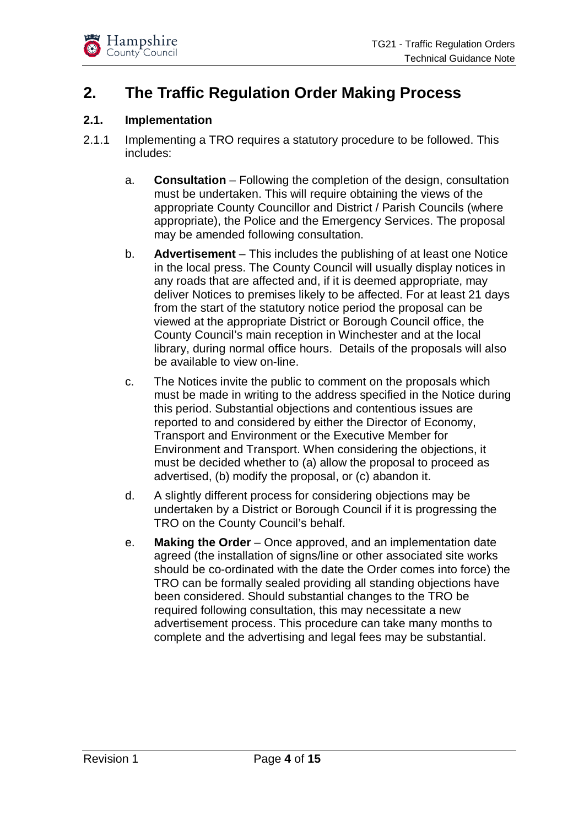

## **2. The Traffic Regulation Order Making Process**

#### **2.1. Implementation**

- 2.1.1 Implementing a TRO requires a statutory procedure to be followed. This includes:
	- a. **Consultation** Following the completion of the design, consultation must be undertaken. This will require obtaining the views of the appropriate County Councillor and District / Parish Councils (where appropriate), the Police and the Emergency Services. The proposal may be amended following consultation.
	- b. **Advertisement** This includes the publishing of at least one Notice in the local press. The County Council will usually display notices in any roads that are affected and, if it is deemed appropriate, may deliver Notices to premises likely to be affected. For at least 21 days from the start of the statutory notice period the proposal can be viewed at the appropriate District or Borough Council office, the County Council's main reception in Winchester and at the local library, during normal office hours. Details of the proposals will also be available to view on-line.
	- c. The Notices invite the public to comment on the proposals which must be made in writing to the address specified in the Notice during this period. Substantial objections and contentious issues are reported to and considered by either the Director of Economy, Transport and Environment or the Executive Member for Environment and Transport. When considering the objections, it must be decided whether to (a) allow the proposal to proceed as advertised, (b) modify the proposal, or (c) abandon it.
	- d. A slightly different process for considering objections may be undertaken by a District or Borough Council if it is progressing the TRO on the County Council's behalf.
	- e. **Making the Order** Once approved, and an implementation date agreed (the installation of signs/line or other associated site works should be co-ordinated with the date the Order comes into force) the TRO can be formally sealed providing all standing objections have been considered. Should substantial changes to the TRO be required following consultation, this may necessitate a new advertisement process. This procedure can take many months to complete and the advertising and legal fees may be substantial.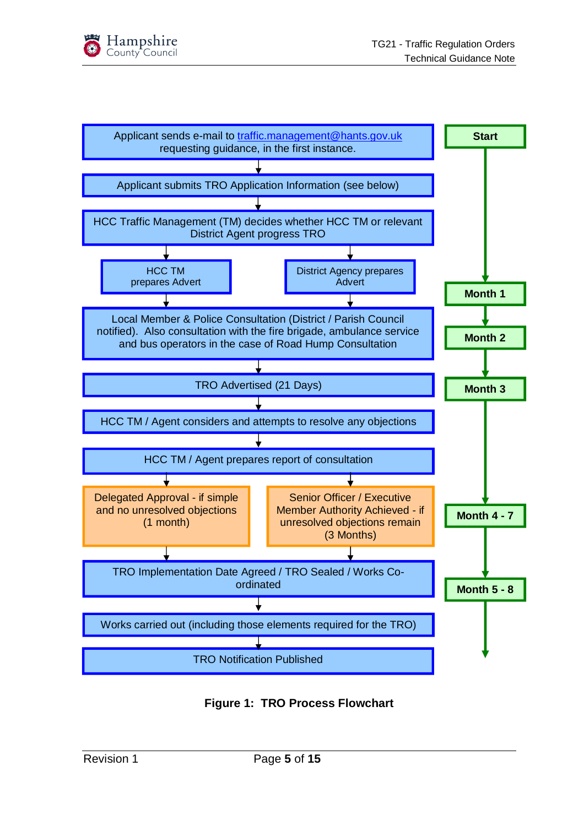



**Figure 1: TRO Process Flowchart**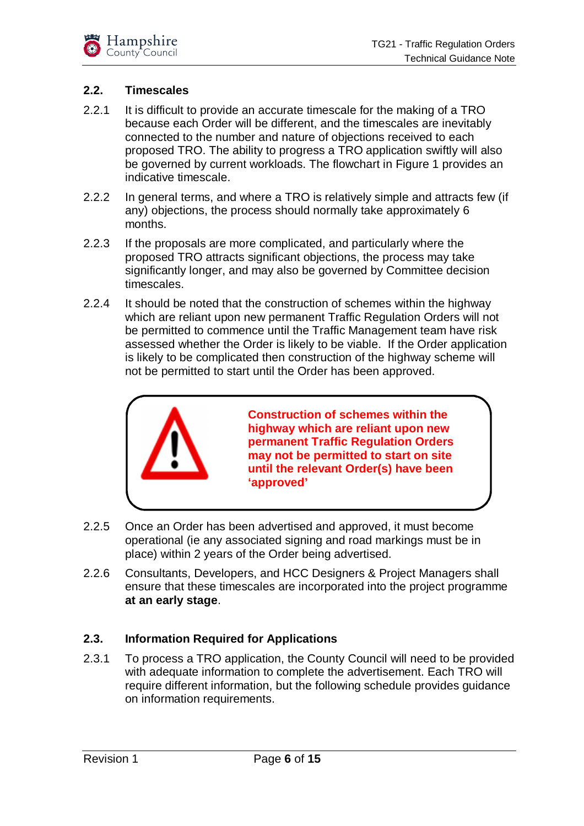#### **2.2. Timescales**

- 2.2.1 It is difficult to provide an accurate timescale for the making of a TRO because each Order will be different, and the timescales are inevitably connected to the number and nature of objections received to each proposed TRO. The ability to progress a TRO application swiftly will also be governed by current workloads. The flowchart in Figure 1 provides an indicative timescale.
- 2.2.2 In general terms, and where a TRO is relatively simple and attracts few (if any) objections, the process should normally take approximately 6 months.
- 2.2.3 If the proposals are more complicated, and particularly where the proposed TRO attracts significant objections, the process may take significantly longer, and may also be governed by Committee decision timescales.
- 2.2.4 It should be noted that the construction of schemes within the highway which are reliant upon new permanent Traffic Regulation Orders will not be permitted to commence until the Traffic Management team have risk assessed whether the Order is likely to be viable. If the Order application is likely to be complicated then construction of the highway scheme will not be permitted to start until the Order has been approved.



**Construction of schemes within the highway which are reliant upon new permanent Traffic Regulation Orders may not be permitted to start on site until the relevant Order(s) have been 'approved'**

- 2.2.5 Once an Order has been advertised and approved, it must become operational (ie any associated signing and road markings must be in place) within 2 years of the Order being advertised.
- 2.2.6 Consultants, Developers, and HCC Designers & Project Managers shall ensure that these timescales are incorporated into the project programme **at an early stage**.

#### **2.3. Information Required for Applications**

2.3.1 To process a TRO application, the County Council will need to be provided with adequate information to complete the advertisement. Each TRO will require different information, but the following schedule provides guidance on information requirements.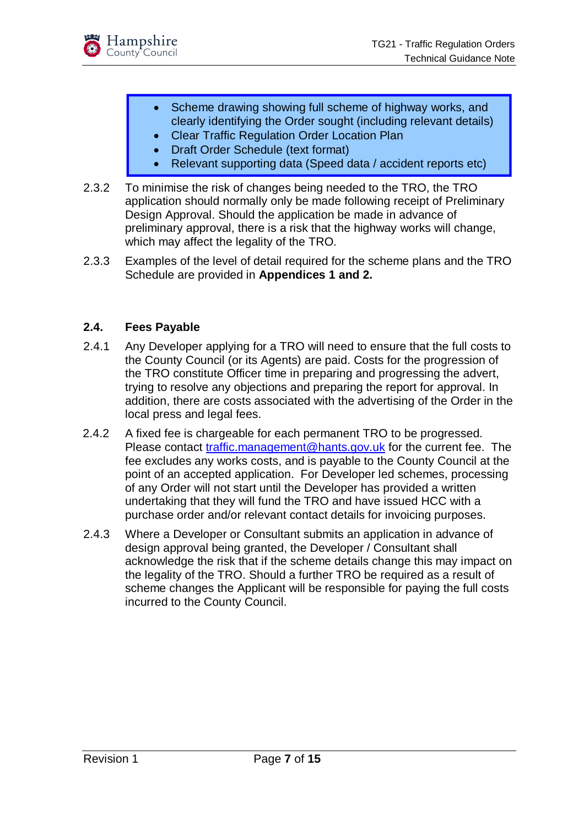

- Scheme drawing showing full scheme of highway works, and clearly identifying the Order sought (including relevant details)
- Clear Traffic Regulation Order Location Plan
- Draft Order Schedule (text format)
- Relevant supporting data (Speed data / accident reports etc)
- 2.3.2 To minimise the risk of changes being needed to the TRO, the TRO application should normally only be made following receipt of Preliminary Design Approval. Should the application be made in advance of preliminary approval, there is a risk that the highway works will change, which may affect the legality of the TRO.
- 2.3.3 Examples of the level of detail required for the scheme plans and the TRO Schedule are provided in **Appendices 1 and 2.**

#### **2.4. Fees Payable**

- 2.4.1 Any Developer applying for a TRO will need to ensure that the full costs to the County Council (or its Agents) are paid. Costs for the progression of the TRO constitute Officer time in preparing and progressing the advert, trying to resolve any objections and preparing the report for approval. In addition, there are costs associated with the advertising of the Order in the local press and legal fees.
- 2.4.2 A fixed fee is chargeable for each permanent TRO to be progressed. Please contact [traffic.management@hants.gov.uk](mailto:traffic.management@hants.gov.uk) for the current fee. The fee excludes any works costs, and is payable to the County Council at the point of an accepted application. For Developer led schemes, processing of any Order will not start until the Developer has provided a written undertaking that they will fund the TRO and have issued HCC with a purchase order and/or relevant contact details for invoicing purposes.
- 2.4.3 Where a Developer or Consultant submits an application in advance of design approval being granted, the Developer / Consultant shall acknowledge the risk that if the scheme details change this may impact on the legality of the TRO. Should a further TRO be required as a result of scheme changes the Applicant will be responsible for paying the full costs incurred to the County Council.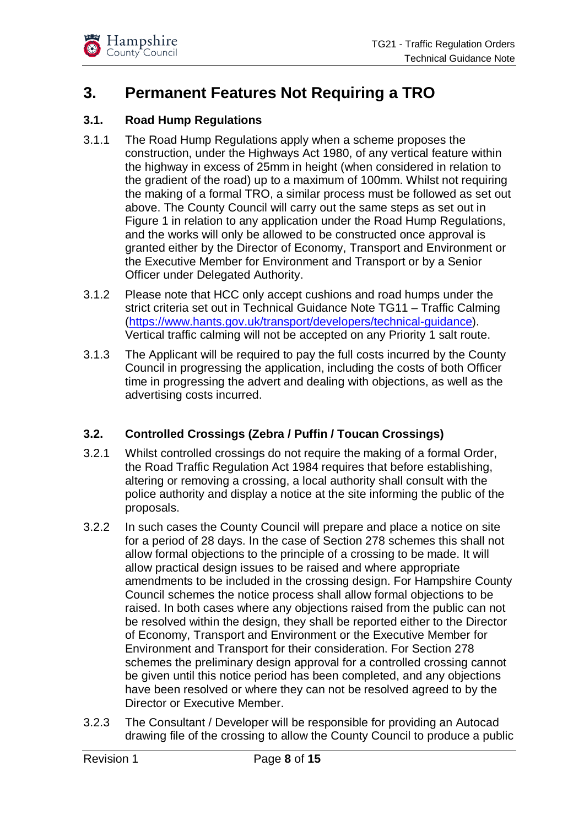

## **3. Permanent Features Not Requiring a TRO**

#### **3.1. Road Hump Regulations**

- 3.1.1 The Road Hump Regulations apply when a scheme proposes the construction, under the Highways Act 1980, of any vertical feature within the highway in excess of 25mm in height (when considered in relation to the gradient of the road) up to a maximum of 100mm. Whilst not requiring the making of a formal TRO, a similar process must be followed as set out above. The County Council will carry out the same steps as set out in Figure 1 in relation to any application under the Road Hump Regulations, and the works will only be allowed to be constructed once approval is granted either by the Director of Economy, Transport and Environment or the Executive Member for Environment and Transport or by a Senior Officer under Delegated Authority.
- 3.1.2 Please note that HCC only accept cushions and road humps under the strict criteria set out in Technical Guidance Note TG11 – Traffic Calming ([https://www.hants.gov.uk/transport/developers/technical-guidance\).](https://www.hants.gov.uk/transport/developers/technical-guidance).) Vertical traffic calming will not be accepted on any Priority 1 salt route.
- 3.1.3 The Applicant will be required to pay the full costs incurred by the County Council in progressing the application, including the costs of both Officer time in progressing the advert and dealing with objections, as well as the advertising costs incurred.

#### **3.2. Controlled Crossings (Zebra / Puffin / Toucan Crossings)**

- 3.2.1 Whilst controlled crossings do not require the making of a formal Order, the Road Traffic Regulation Act 1984 requires that before establishing, altering or removing a crossing, a local authority shall consult with the police authority and display a notice at the site informing the public of the proposals.
- 3.2.2 In such cases the County Council will prepare and place a notice on site for a period of 28 days. In the case of Section 278 schemes this shall not allow formal objections to the principle of a crossing to be made. It will allow practical design issues to be raised and where appropriate amendments to be included in the crossing design. For Hampshire County Council schemes the notice process shall allow formal objections to be raised. In both cases where any objections raised from the public can not be resolved within the design, they shall be reported either to the Director of Economy, Transport and Environment or the Executive Member for Environment and Transport for their consideration. For Section 278 schemes the preliminary design approval for a controlled crossing cannot be given until this notice period has been completed, and any objections have been resolved or where they can not be resolved agreed to by the Director or Executive Member.
- 3.2.3 The Consultant / Developer will be responsible for providing an Autocad drawing file of the crossing to allow the County Council to produce a public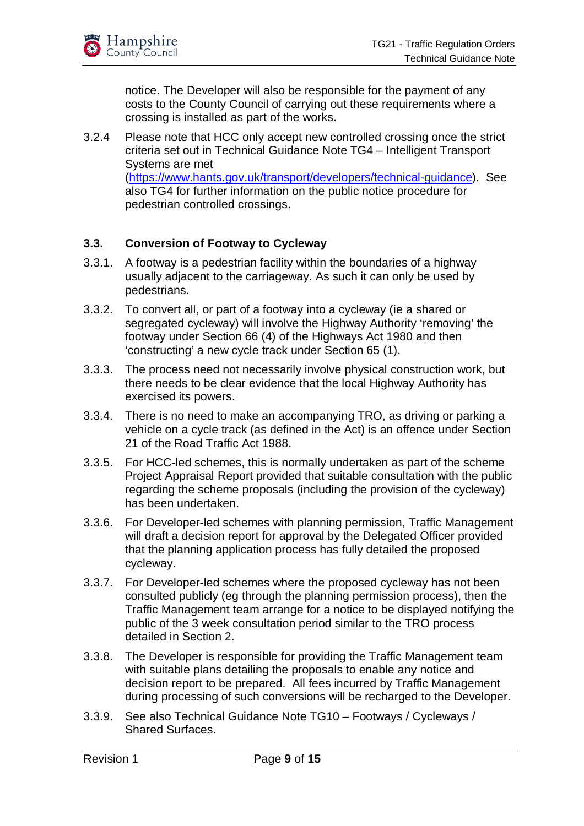notice. The Developer will also be responsible for the payment of any costs to the County Council of carrying out these requirements where a crossing is installed as part of the works.

3.2.4 Please note that HCC only accept new controlled crossing once the strict criteria set out in Technical Guidance Note TG4 – Intelligent Transport Systems are met ([https://www.hants.gov.uk/transport/developers/technical-guidance\).](https://www.hants.gov.uk/transport/developers/technical-guidance).) See also TG4 for further information on the public notice procedure for pedestrian controlled crossings.

#### **3.3. Conversion of Footway to Cycleway**

- 3.3.1. A footway is a pedestrian facility within the boundaries of a highway usually adjacent to the carriageway. As such it can only be used by pedestrians.
- 3.3.2. To convert all, or part of a footway into a cycleway (ie a shared or segregated cycleway) will involve the Highway Authority 'removing' the footway under Section 66 (4) of the Highways Act 1980 and then 'constructing' a new cycle track under Section 65 (1).
- 3.3.3. The process need not necessarily involve physical construction work, but there needs to be clear evidence that the local Highway Authority has exercised its powers.
- 3.3.4. There is no need to make an accompanying TRO, as driving or parking a vehicle on a cycle track (as defined in the Act) is an offence under Section 21 of the Road Traffic Act 1988.
- 3.3.5. For HCC-led schemes, this is normally undertaken as part of the scheme Project Appraisal Report provided that suitable consultation with the public regarding the scheme proposals (including the provision of the cycleway) has been undertaken.
- 3.3.6. For Developer-led schemes with planning permission, Traffic Management will draft a decision report for approval by the Delegated Officer provided that the planning application process has fully detailed the proposed cycleway.
- 3.3.7. For Developer-led schemes where the proposed cycleway has not been consulted publicly (eg through the planning permission process), then the Traffic Management team arrange for a notice to be displayed notifying the public of the 3 week consultation period similar to the TRO process detailed in Section 2.
- 3.3.8. The Developer is responsible for providing the Traffic Management team with suitable plans detailing the proposals to enable any notice and decision report to be prepared. All fees incurred by Traffic Management during processing of such conversions will be recharged to the Developer.
- 3.3.9. See also Technical Guidance Note TG10 Footways / Cycleways / Shared Surfaces.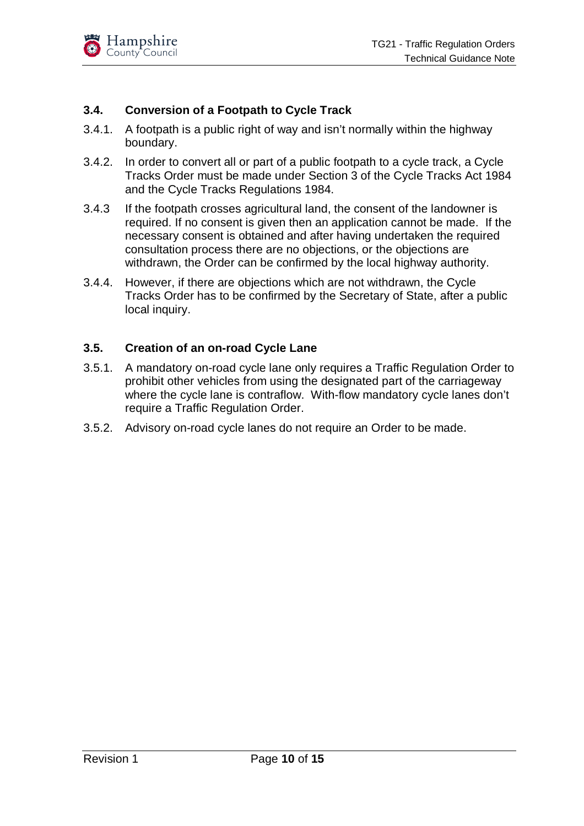

#### **3.4. Conversion of a Footpath to Cycle Track**

- 3.4.1. A footpath is a public right of way and isn't normally within the highway boundary.
- 3.4.2. In order to convert all or part of a public footpath to a cycle track, a Cycle Tracks Order must be made under Section 3 of the Cycle Tracks Act 1984 and the Cycle Tracks Regulations 1984.
- 3.4.3 If the footpath crosses agricultural land, the consent of the landowner is required. If no consent is given then an application cannot be made. If the necessary consent is obtained and after having undertaken the required consultation process there are no objections, or the objections are withdrawn, the Order can be confirmed by the local highway authority.
- 3.4.4. However, if there are objections which are not withdrawn, the Cycle Tracks Order has to be confirmed by the Secretary of State, after a public local inquiry.

#### **3.5. Creation of an on-road Cycle Lane**

- 3.5.1. A mandatory on-road cycle lane only requires a Traffic Regulation Order to prohibit other vehicles from using the designated part of the carriageway where the cycle lane is contraflow. With-flow mandatory cycle lanes don't require a Traffic Regulation Order.
- 3.5.2. Advisory on-road cycle lanes do not require an Order to be made.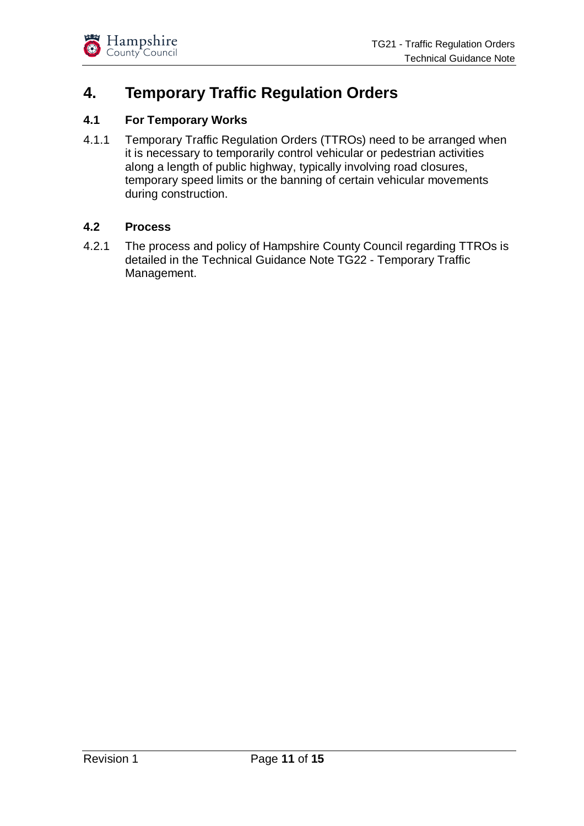

## **4. Temporary Traffic Regulation Orders**

#### **4.1 For Temporary Works**

4.1.1 Temporary Traffic Regulation Orders (TTROs) need to be arranged when it is necessary to temporarily control vehicular or pedestrian activities along a length of public highway, typically involving road closures, temporary speed limits or the banning of certain vehicular movements during construction.

#### **4.2 Process**

4.2.1 The process and policy of Hampshire County Council regarding TTROs is detailed in the Technical Guidance Note TG22 - Temporary Traffic Management.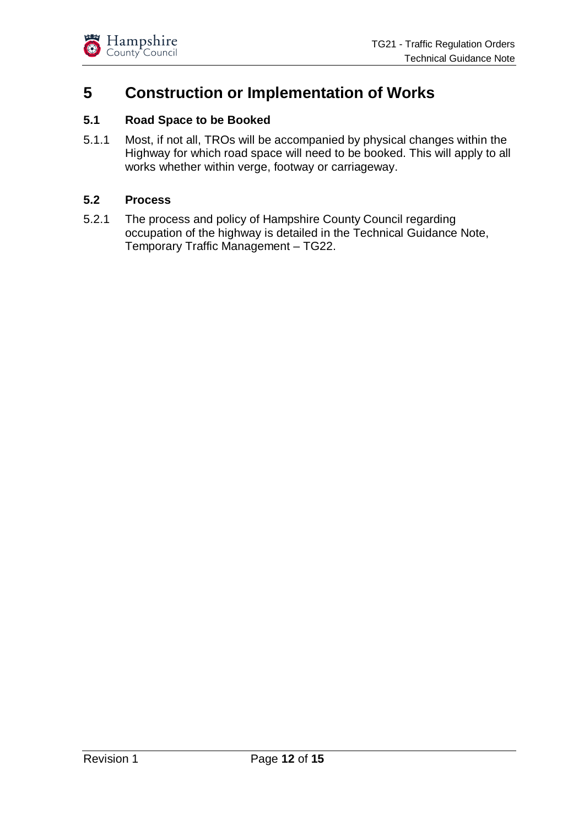

## **5 Construction or Implementation of Works**

#### **5.1 Road Space to be Booked**

5.1.1 Most, if not all, TROs will be accompanied by physical changes within the Highway for which road space will need to be booked. This will apply to all works whether within verge, footway or carriageway.

#### **5.2 Process**

5.2.1 The process and policy of Hampshire County Council regarding occupation of the highway is detailed in the Technical Guidance Note, Temporary Traffic Management – TG22.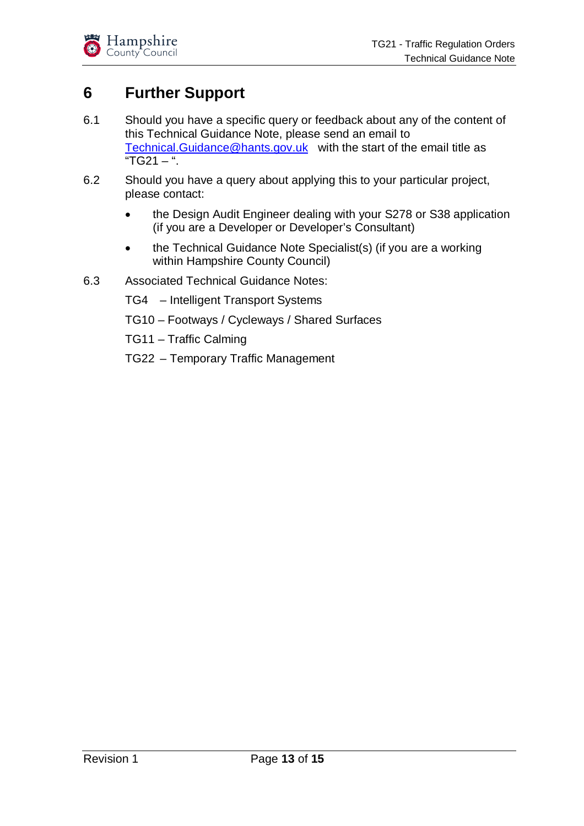## **6 Further Support**

- 6.1 Should you have a specific query or feedback about any of the content of this Technical Guidance Note, please send an email to [Technical.Guidance@hants.gov.uk](mailto:Technical.Guidance@hants.gov.uk) with the start of the email title as "TG21 – ".
- 6.2 Should you have a query about applying this to your particular project, please contact:
	- the Design Audit Engineer dealing with your S278 or S38 application (if you are a Developer or Developer's Consultant)
	- the Technical Guidance Note Specialist(s) (if you are a working within Hampshire County Council)
- 6.3 Associated Technical Guidance Notes:
	- TG4 Intelligent Transport Systems
	- TG10 Footways / Cycleways / Shared Surfaces
	- TG11 Traffic Calming
	- TG22 Temporary Traffic Management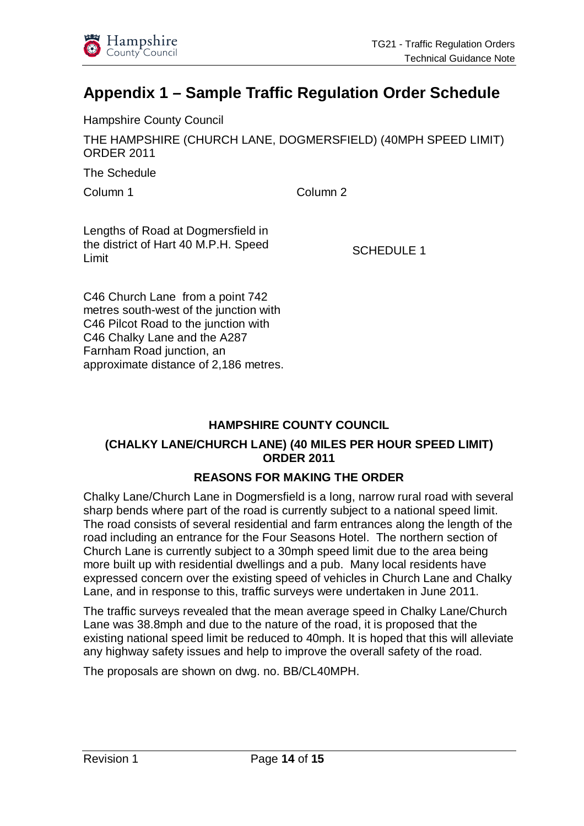

## **Appendix 1** *–* **Sample Traffic Regulation Order Schedule**

Hampshire County Council

THE HAMPSHIRE (CHURCH LANE, DOGMERSFIELD) (40MPH SPEED LIMIT) ORDER 2011

The Schedule

Column 1 Column 2

Lengths of Road at Dogmersfield in the district of Hart 40 M.P.H. Speed Limit

SCHEDULE 1

C46 Church Lane from a point 742 metres south-west of the junction with C46 Pilcot Road to the junction with C46 Chalky Lane and the A287 Farnham Road junction, an approximate distance of 2,186 metres.

#### **HAMPSHIRE COUNTY COUNCIL**

#### **(CHALKY LANE/CHURCH LANE) (40 MILES PER HOUR SPEED LIMIT) ORDER 2011**

#### **REASONS FOR MAKING THE ORDER**

Chalky Lane/Church Lane in Dogmersfield is a long, narrow rural road with several sharp bends where part of the road is currently subject to a national speed limit. The road consists of several residential and farm entrances along the length of the road including an entrance for the Four Seasons Hotel. The northern section of Church Lane is currently subject to a 30mph speed limit due to the area being more built up with residential dwellings and a pub. Many local residents have expressed concern over the existing speed of vehicles in Church Lane and Chalky Lane, and in response to this, traffic surveys were undertaken in June 2011.

The traffic surveys revealed that the mean average speed in Chalky Lane/Church Lane was 38.8mph and due to the nature of the road, it is proposed that the existing national speed limit be reduced to 40mph. It is hoped that this will alleviate any highway safety issues and help to improve the overall safety of the road.

The proposals are shown on dwg. no. BB/CL40MPH.